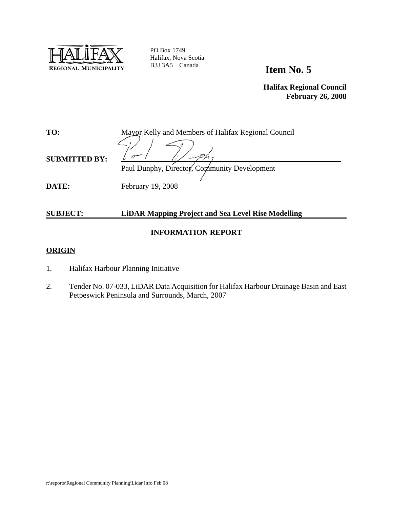

PO Box 1749 Halifax, Nova Scotia B3J 3A5 Canada

# **Item No. 5**

**Halifax Regional Council February 26, 2008**

| TO:                  | Mayor Kelly and Members of Halifax Regional Council |
|----------------------|-----------------------------------------------------|
| <b>SUBMITTED BY:</b> |                                                     |
|                      | Paul Dunphy, Director, Community Development        |
| DATE:                | February 19, 2008                                   |

# **SUBJECT: LiDAR Mapping Project and Sea Level Rise Modelling**

## **INFORMATION REPORT**

#### **ORIGIN**

- 1. Halifax Harbour Planning Initiative
- 2. Tender No. 07-033, LiDAR Data Acquisition for Halifax Harbour Drainage Basin and East Petpeswick Peninsula and Surrounds, March, 2007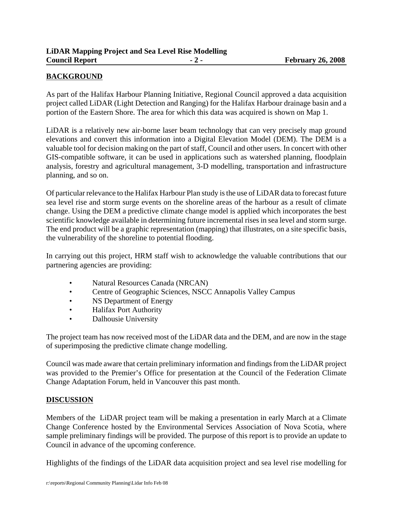## **BACKGROUND**

As part of the Halifax Harbour Planning Initiative, Regional Council approved a data acquisition project called LiDAR (Light Detection and Ranging) for the Halifax Harbour drainage basin and a portion of the Eastern Shore. The area for which this data was acquired is shown on Map 1.

LiDAR is a relatively new air-borne laser beam technology that can very precisely map ground elevations and convert this information into a Digital Elevation Model (DEM). The DEM is a valuable tool for decision making on the part of staff, Council and other users. In concert with other GIS-compatible software, it can be used in applications such as watershed planning, floodplain analysis, forestry and agricultural management, 3-D modelling, transportation and infrastructure planning, and so on.

Of particular relevance to the Halifax Harbour Plan study is the use of LiDAR data to forecast future sea level rise and storm surge events on the shoreline areas of the harbour as a result of climate change. Using the DEM a predictive climate change model is applied which incorporates the best scientific knowledge available in determining future incremental rises in sea level and storm surge. The end product will be a graphic representation (mapping) that illustrates, on a site specific basis, the vulnerability of the shoreline to potential flooding.

In carrying out this project, HRM staff wish to acknowledge the valuable contributions that our partnering agencies are providing:

- Natural Resources Canada (NRCAN)
- Centre of Geographic Sciences, NSCC Annapolis Valley Campus
- NS Department of Energy
- Halifax Port Authority
- Dalhousie University

The project team has now received most of the LiDAR data and the DEM, and are now in the stage of superimposing the predictive climate change modelling.

Council was made aware that certain preliminary information and findings from the LiDAR project was provided to the Premier's Office for presentation at the Council of the Federation Climate Change Adaptation Forum, held in Vancouver this past month.

## **DISCUSSION**

Members of the LiDAR project team will be making a presentation in early March at a Climate Change Conference hosted by the Environmental Services Association of Nova Scotia, where sample preliminary findings will be provided. The purpose of this report is to provide an update to Council in advance of the upcoming conference.

Highlights of the findings of the LiDAR data acquisition project and sea level rise modelling for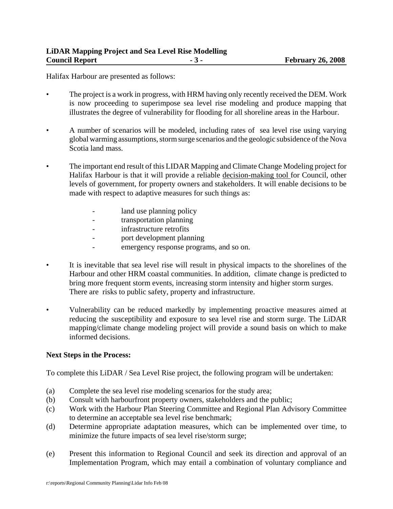Halifax Harbour are presented as follows:

- The project is a work in progress, with HRM having only recently received the DEM. Work is now proceeding to superimpose sea level rise modeling and produce mapping that illustrates the degree of vulnerability for flooding for all shoreline areas in the Harbour.
- A number of scenarios will be modeled, including rates of sea level rise using varying global warming assumptions, storm surge scenarios and the geologic subsidence of the Nova Scotia land mass.
- The important end result of this LIDAR Mapping and Climate Change Modeling project for Halifax Harbour is that it will provide a reliable decision-making tool for Council, other levels of government, for property owners and stakeholders. It will enable decisions to be made with respect to adaptive measures for such things as:
	- land use planning policy
	- transportation planning
	- infrastructure retrofits
	- port development planning
	- emergency response programs, and so on.
- It is inevitable that sea level rise will result in physical impacts to the shorelines of the Harbour and other HRM coastal communities. In addition, climate change is predicted to bring more frequent storm events, increasing storm intensity and higher storm surges. There are risks to public safety, property and infrastructure.
- Vulnerability can be reduced markedly by implementing proactive measures aimed at reducing the susceptibility and exposure to sea level rise and storm surge. The LiDAR mapping/climate change modeling project will provide a sound basis on which to make informed decisions.

## **Next Steps in the Process:**

To complete this LiDAR / Sea Level Rise project, the following program will be undertaken:

- (a) Complete the sea level rise modeling scenarios for the study area;
- (b) Consult with harbourfront property owners, stakeholders and the public;
- (c) Work with the Harbour Plan Steering Committee and Regional Plan Advisory Committee to determine an acceptable sea level rise benchmark;
- (d) Determine appropriate adaptation measures, which can be implemented over time, to minimize the future impacts of sea level rise/storm surge;
- (e) Present this information to Regional Council and seek its direction and approval of an Implementation Program, which may entail a combination of voluntary compliance and